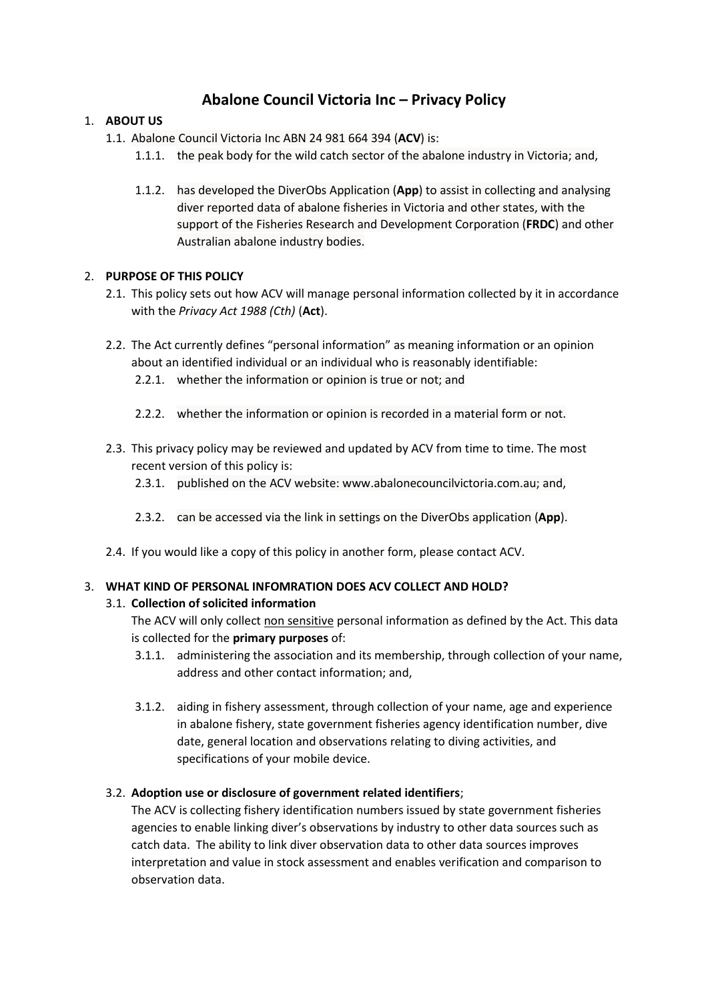# **Abalone Council Victoria Inc – Privacy Policy**

# 1. **ABOUT US**

- 1.1. Abalone Council Victoria Inc ABN 24 981 664 394 (**ACV**) is:
	- 1.1.1. the peak body for the wild catch sector of the abalone industry in Victoria; and,
	- 1.1.2. has developed the DiverObs Application (**App**) to assist in collecting and analysing diver reported data of abalone fisheries in Victoria and other states, with the support of the Fisheries Research and Development Corporation (**FRDC**) and other Australian abalone industry bodies.

# 2. **PURPOSE OF THIS POLICY**

- 2.1. This policy sets out how ACV will manage personal information collected by it in accordance with the *Privacy Act 1988 (Cth)* (**Act**).
- 2.2. The Act currently defines "personal information" as meaning information or an opinion about an identified individual or an individual who is reasonably identifiable:
	- 2.2.1. whether the information or opinion is true or not; and
	- 2.2.2. whether the information or opinion is recorded in a material form or not.
- 2.3. This privacy policy may be reviewed and updated by ACV from time to time. The most recent version of this policy is:
	- 2.3.1. published on the ACV website: www.abalonecouncilvictoria.com.au; and,
	- 2.3.2. can be accessed via the link in settings on the DiverObs application (**App**).
- 2.4. If you would like a copy of this policy in another form, please contact ACV.

# 3. **WHAT KIND OF PERSONAL INFOMRATION DOES ACV COLLECT AND HOLD?**

# 3.1. **Collection of solicited information**

The ACV will only collect non sensitive personal information as defined by the Act. This data is collected for the **primary purposes** of:

- 3.1.1. administering the association and its membership, through collection of your name, address and other contact information; and,
- 3.1.2. aiding in fishery assessment, through collection of your name, age and experience in abalone fishery, state government fisheries agency identification number, dive date, general location and observations relating to diving activities, and specifications of your mobile device.

# 3.2. **Adoption use or disclosure of government related identifiers**;

The ACV is collecting fishery identification numbers issued by state government fisheries agencies to enable linking diver's observations by industry to other data sources such as catch data. The ability to link diver observation data to other data sources improves interpretation and value in stock assessment and enables verification and comparison to observation data.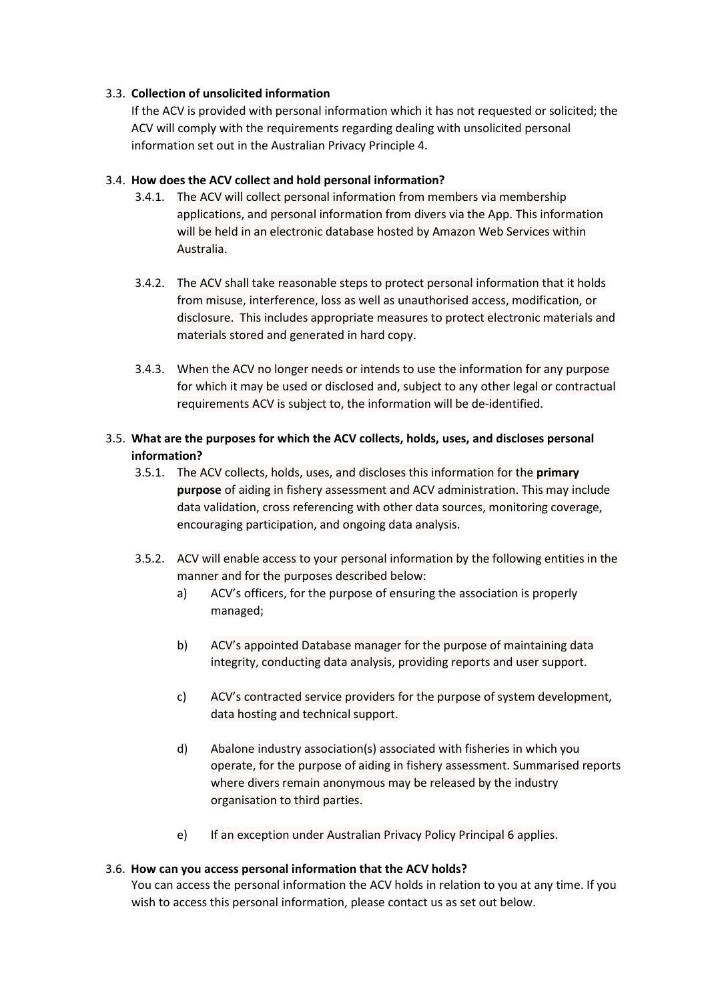#### 3.3. **Collection of unsolicited information**

If the ACV is provided with personal information which it has not requested or solicited; the ACV will comply with the requirements regarding dealing with unsolicited personal information set out in the Australian Privacy Principle 4.

#### 3.4. **How does the ACV collect and hold personal information?**

- 3.4.1. The ACV will collect personal information from members via membership applications, and personal information from divers via the App. This information will be held in an electronic database hosted by Amazon Web Services within Australia.
- 3.4.2. The ACV shall take reasonable steps to protect personal information that it holds from misuse, interference, loss as well as unauthorised access, modification, or disclosure. This includes appropriate measures to protect electronic materials and materials stored and generated in hard copy.
- 3.4.3. When the ACV no longer needs or intends to use the information for any purpose for which it may be used or disclosed and, subject to any other legal or contractual requirements ACV is subject to, the information will be de-identified.

# 3.5. **What are the purposes for which the ACV collects, holds, uses, and discloses personal information?**

- 3.5.1. The ACV collects, holds, uses, and discloses this information for the **primary purpose** of aiding in fishery assessment and ACV administration. This may include data validation, cross referencing with other data sources, monitoring coverage, encouraging participation, and ongoing data analysis.
- 3.5.2. ACV will enable access to your personal information by the following entities in the manner and for the purposes described below:
	- a) ACV's officers, for the purpose of ensuring the association is properly managed;
	- b) ACV's appointed Database manager for the purpose of maintaining data integrity, conducting data analysis, providing reports and user support.
	- c) ACV's contracted service providers for the purpose of system development, data hosting and technical support.
	- d) Abalone industry association(s) associated with fisheries in which you operate, for the purpose of aiding in fishery assessment. Summarised reports where divers remain anonymous may be released by the industry organisation to third parties.
	- e) If an exception under Australian Privacy Policy Principal 6 applies.

#### 3.6. **How can you access personal information that the ACV holds?**

You can access the personal information the ACV holds in relation to you at any time. If you wish to access this personal information, please contact us as set out below.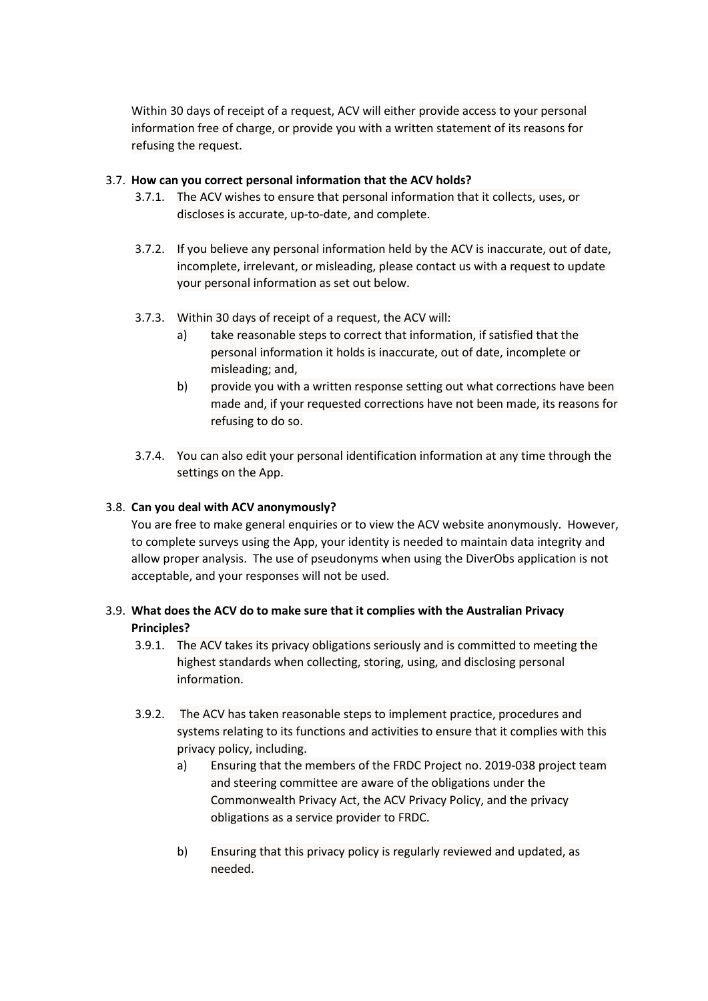Within 30 days of receipt of a request, ACV will either provide access to your personal information free of charge, or provide you with a written statement of its reasons for refusing the request.

#### 3.7. **How can you correct personal information that the ACV holds?**

- 3.7.1. The ACV wishes to ensure that personal information that it collects, uses, or discloses is accurate, up-to-date, and complete.
- 3.7.2. If you believe any personal information held by the ACV is inaccurate, out of date, incomplete, irrelevant, or misleading, please contact us with a request to update your personal information as set out below.
- 3.7.3. Within 30 days of receipt of a request, the ACV will:
	- a) take reasonable steps to correct that information, if satisfied that the personal information it holds is inaccurate, out of date, incomplete or misleading; and,
	- b) provide you with a written response setting out what corrections have been made and, if your requested corrections have not been made, its reasons for refusing to do so.
- 3.7.4. You can also edit your personal identification information at any time through the settings on the App.

#### 3.8. **Can you deal with ACV anonymously?**

You are free to make general enquiries or to view the ACV website anonymously. However, to complete surveys using the App, your identity is needed to maintain data integrity and allow proper analysis. The use of pseudonyms when using the DiverObs application is not acceptable, and your responses will not be used.

# 3.9. **What does the ACV do to make sure that it complies with the Australian Privacy Principles?**

- 3.9.1. The ACV takes its privacy obligations seriously and is committed to meeting the highest standards when collecting, storing, using, and disclosing personal information.
- 3.9.2. The ACV has taken reasonable steps to implement practice, procedures and systems relating to its functions and activities to ensure that it complies with this privacy policy, including.
	- a) Ensuring that the members of the FRDC Project no. 2019-038 project team and steering committee are aware of the obligations under the Commonwealth Privacy Act, the ACV Privacy Policy, and the privacy obligations as a service provider to FRDC.
	- b) Ensuring that this privacy policy is regularly reviewed and updated, as needed.